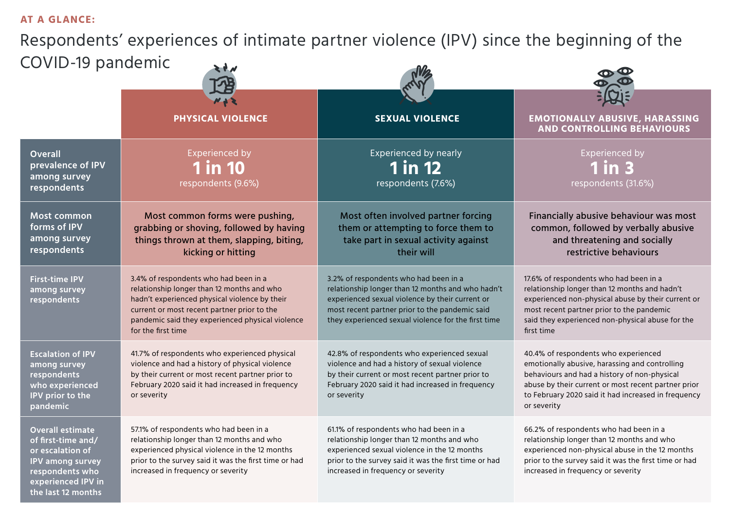### **AT A GLANCE:**

Respondents' experiences of intimate partner violence (IPV) since the beginning of the COVID-19 pandemic

| COVID-19 pariucinic                                                                                                                                         |                                                                                                                                                                                                                                                               |                                                                                                                                                                                                                                                        |                                                                                                                                                                                                                                                                     |
|-------------------------------------------------------------------------------------------------------------------------------------------------------------|---------------------------------------------------------------------------------------------------------------------------------------------------------------------------------------------------------------------------------------------------------------|--------------------------------------------------------------------------------------------------------------------------------------------------------------------------------------------------------------------------------------------------------|---------------------------------------------------------------------------------------------------------------------------------------------------------------------------------------------------------------------------------------------------------------------|
|                                                                                                                                                             |                                                                                                                                                                                                                                                               |                                                                                                                                                                                                                                                        |                                                                                                                                                                                                                                                                     |
|                                                                                                                                                             | <b>PHYSICAL VIOLENCE</b>                                                                                                                                                                                                                                      | <b>SEXUAL VIOLENCE</b>                                                                                                                                                                                                                                 | <b>EMOTIONALLY ABUSIVE, HARASSING</b><br><b>AND CONTROLLING BEHAVIOURS</b>                                                                                                                                                                                          |
| <b>Overall</b><br>prevalence of IPV<br>among survey<br>respondents                                                                                          | <b>Experienced by</b><br><b>1 in 10</b><br>respondents (9.6%)                                                                                                                                                                                                 | Experienced by nearly<br><b>1 in 12</b><br>respondents (7.6%)                                                                                                                                                                                          | <b>Experienced by</b><br>$1$ in $3$<br>respondents (31.6%)                                                                                                                                                                                                          |
| <b>Most common</b><br>forms of IPV<br>among survey<br>respondents                                                                                           | Most common forms were pushing,<br>grabbing or shoving, followed by having<br>things thrown at them, slapping, biting,<br>kicking or hitting                                                                                                                  | Most often involved partner forcing<br>them or attempting to force them to<br>take part in sexual activity against<br>their will                                                                                                                       | Financially abusive behaviour was most<br>common, followed by verbally abusive<br>and threatening and socially<br>restrictive behaviours                                                                                                                            |
| <b>First-time IPV</b><br>among survey<br>respondents                                                                                                        | 3.4% of respondents who had been in a<br>relationship longer than 12 months and who<br>hadn't experienced physical violence by their<br>current or most recent partner prior to the<br>pandemic said they experienced physical violence<br>for the first time | 3.2% of respondents who had been in a<br>relationship longer than 12 months and who hadn't<br>experienced sexual violence by their current or<br>most recent partner prior to the pandemic said<br>they experienced sexual violence for the first time | 17.6% of respondents who had been in a<br>relationship longer than 12 months and hadn't<br>experienced non-physical abuse by their current or<br>most recent partner prior to the pandemic<br>said they experienced non-physical abuse for the<br>first time        |
| <b>Escalation of IPV</b><br>among survey<br>respondents<br>who experienced<br>IPV prior to the<br><b>pandemic</b>                                           | 41.7% of respondents who experienced physical<br>violence and had a history of physical violence<br>by their current or most recent partner prior to<br>February 2020 said it had increased in frequency<br>or severity                                       | 42.8% of respondents who experienced sexual<br>violence and had a history of sexual violence<br>by their current or most recent partner prior to<br>February 2020 said it had increased in frequency<br>or severity                                    | 40.4% of respondents who experienced<br>emotionally abusive, harassing and controlling<br>behaviours and had a history of non-physical<br>abuse by their current or most recent partner prior<br>to February 2020 said it had increased in frequency<br>or severity |
| <b>Overall estimate</b><br>of first-time and/<br>or escalation of<br><b>IPV among survey</b><br>respondents who<br>experienced IPV in<br>the last 12 months | 57.1% of respondents who had been in a<br>relationship longer than 12 months and who<br>experienced physical violence in the 12 months<br>prior to the survey said it was the first time or had<br>increased in frequency or severity                         | 61.1% of respondents who had been in a<br>relationship longer than 12 months and who<br>experienced sexual violence in the 12 months<br>prior to the survey said it was the first time or had<br>increased in frequency or severity                    | 66.2% of respondents who had been in a<br>relationship longer than 12 months and who<br>experienced non-physical abuse in the 12 months<br>prior to the survey said it was the first time or had<br>increased in frequency or severity                              |